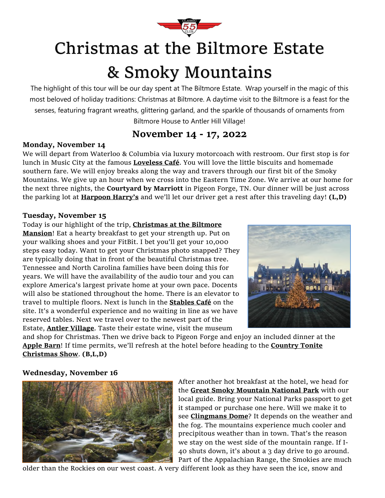

# Christmas at the Biltmore Estate

# & Smoky Mountains

The highlight of this tour will be our day spent at The Biltmore Estate. Wrap yourself in the magic of this most beloved of holiday traditions: Christmas at Biltmore. A daytime visit to the Biltmore is a feast for the senses, featuring fragrant wreaths, glittering garland, and the sparkle of thousands of ornaments from Biltmore House to Antler Hill Village!

## **November 14 - 17, 2022**

## **Monday, November 14**

We will depart from Waterloo & Columbia via luxury motorcoach with restroom. Our first stop is for lunch in Music City at the famous **[Loveless Café](https://www.lovelesscafe.com/)**. You will love the little biscuits and homemade southern fare. We will enjoy breaks along the way and travers through our first bit of the Smoky Mountains. We give up an hour when we cross into the Eastern Time Zone. We arrive at our home for the next three nights, the **Courtyard by Marriott** in Pigeon Forge, TN. Our dinner will be just across the parking lot at **[Harpoon Harry's](https://harpoonharryscrabhouse.com/)** and we'll let our driver get a rest after this traveling day! **(L,D)** 

## **Tuesday, November 15**

Today is our highlight of the trip, **[Christmas at the Biltmore](https://www.biltmore.com/things-to-do/events/christmas/)  [Mansion](https://www.biltmore.com/things-to-do/events/christmas/)**! Eat a hearty breakfast to get your strength up. Put on your walking shoes and your FitBit. I bet you'll get your 10,000 steps easy today. Want to get your Christmas photo snapped? They are typically doing that in front of the beautiful Christmas tree. Tennessee and North Carolina families have been doing this for years. We will have the availability of the audio tour and you can explore America's largest private home at your own pace. Docents will also be stationed throughout the home. There is an elevator to travel to multiple floors. Next is lunch in the **[Stables Café](https://www.biltmore.com/restaurant/stable-cafe/)** on the site. It's a wonderful experience and no waiting in line as we have reserved tables. Next we travel over to the newest part of the Estate, **[Antler Village](https://www.biltmore.com/things-to-do/shopping/shops-at-biltmore/#tab-1)**. Taste their estate wine, visit the museum



and shop for Christmas. Then we drive back to Pigeon Forge and enjoy an included dinner at the **[Apple Barn](https://applebarncidermill.com/)**! If time permits, we'll refresh at the hotel before heading to the **[Country Tonite](https://www.countrytonitepf.com/christmas-show/)  [Christmas Show](https://www.countrytonitepf.com/christmas-show/)**. **(B,L,D)** 

## **Wednesday, November 16**



After another hot breakfast at the hotel, we head for the **[Great Smoky Mountain National Park](https://www.nps.gov/grsm/index.htm)** with our local guide. Bring your National Parks passport to get it stamped or purchase one here. Will we make it to see **[Clingmans Dome](https://www.nps.gov/places/clingmans-dome-observation-tower.htm)**? It depends on the weather and the fog. The mountains experience much cooler and precipitous weather than in town. That's the reason we stay on the west side of the mountain range. If I-40 shuts down, it's about a 3 day drive to go around. Part of the Appalachian Range, the Smokies are much

older than the Rockies on our west coast. A very different look as they have seen the ice, snow and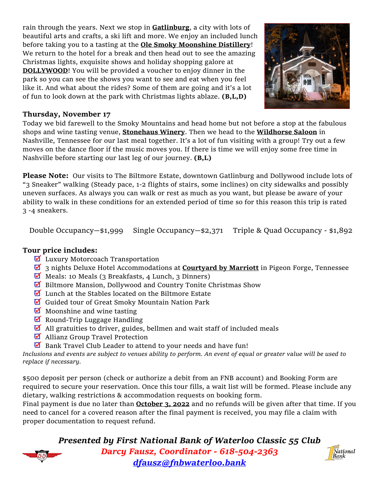rain through the years. Next we stop in **[Gatlinburg](https://www.gatlinburg.com/things-to-do/attractions/)**, a city with lots of beautiful arts and crafts, a ski lift and more. We enjoy an included lunch before taking you to a tasting at the **[Ole Smoky Moonshine Distillery](https://olesmoky.com/pages/history)**! We return to the hotel for a break and then head out to see the amazing Christmas lights, exquisite shows and holiday shopping galore at **[DOLLYWOOD](https://www.dollywood.com/themepark/Festivals/Smoky-Mountain-Christmas)**! You will be provided a voucher to enjoy dinner in the park so you can see the shows you want to see and eat when you feel like it. And what about the rides? Some of them are going and it's a lot of fun to look down at the park with Christmas lights ablaze. **(B,L,D)**



### **Thursday, November 17**

Today we bid farewell to the Smoky Mountains and head home but not before a stop at the fabulous shops and wine tasting venue, **[Stonehaus Winery](http://www.stonehauswinery.com/)**. Then we head to the **[Wildhorse Saloon](https://wildhorsesaloon.com/about/)** in Nashville, Tennessee for our last meal together. It's a lot of fun visiting with a group! Try out a few moves on the dance floor if the music moves you. If there is time we will enjoy some free time in Nashville before starting our last leg of our journey. **(B,L)**

**Please Note:** Our visits to The Biltmore Estate, downtown Gatlinburg and Dollywood include lots of "3 Sneaker" walking (Steady pace, 1-2 flights of stairs, some inclines) on city sidewalks and possibly uneven surfaces. As always you can walk or rest as much as you want, but please be aware of your ability to walk in these conditions for an extended period of time so for this reason this trip is rated 3 -4 sneakers.

Double Occupancy—\$1,999 Single Occupancy—\$2,371 Triple & Quad Occupancy - \$1,892

## **Tour price includes:**

- **Luxury Motorcoach Transportation**
- 3 nights Deluxe Hotel Accommodations at **[Courtyard by Marriott](https://www.marriott.com/en-us/hotels/tyscp-courtyard-pigeon-forge/overview/)** in Pigeon Forge, Tennessee
- **Meals:** 10 Meals (3 Breakfasts, 4 Lunch, 3 Dinners)
- Biltmore Mansion, Dollywood and Country Tonite Christmas Show
- **Lunch at the Stables located on the Biltmore Estate**
- Guided tour of Great Smoky Mountain Nation Park
- $\blacksquare$  Moonshine and wine tasting
- Round-Trip Luggage Handling
- All gratuities to driver, guides, bellmen and wait staff of included meals
- **M** Allianz Group Travel Protection
- Bank Travel Club Leader to attend to your needs and have fun!

*Inclusions and events are subject to venues ability to perform. An event of equal or greater value will be used to replace if necessary.* 

\$500 deposit per person (check or authorize a debit from an FNB account) and Booking Form are required to secure your reservation. Once this tour fills, a wait list will be formed. Please include any dietary, walking restrictions & accommodation requests on booking form.

Final payment is due no later than **October 3, 2022** and no refunds will be given after that time. If you need to cancel for a covered reason after the final payment is received, you may file a claim with proper documentation to request refund.



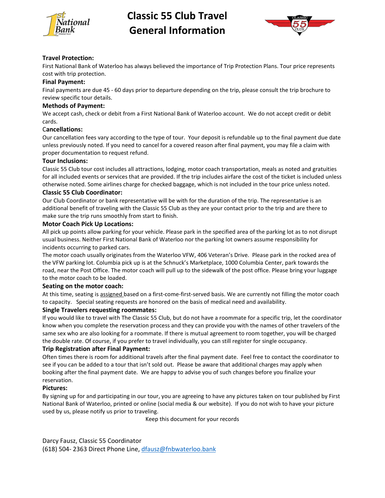

**Classic 55 Club Travel General Information** 



#### **Travel Protection:**

First National Bank of Waterloo has always believed the importance of Trip Protection Plans. Tour price represents cost with trip protection.

#### **Final Payment:**

Final payments are due 45 - 60 days prior to departure depending on the trip, please consult the trip brochure to review specific tour details.

#### **Methods of Payment:**

We accept cash, check or debit from a First National Bank of Waterloo account. We do not accept credit or debit cards.

#### C**ancellations:**

Our cancellation fees vary according to the type of tour. Your deposit is refundable up to the final payment due date unless previously noted. If you need to cancel for a covered reason after final payment, you may file a claim with proper documentation to request refund.

#### **Tour Inclusions:**

Classic 55 Club tour cost includes all attractions, lodging, motor coach transportation, meals as noted and gratuities for all included events or services that are provided. If the trip includes airfare the cost of the ticket is included unless otherwise noted. Some airlines charge for checked baggage, which is not included in the tour price unless noted.

#### **Classic 55 Club Coordinator:**

Our Club Coordinator or bank representative will be with for the duration of the trip. The representative is an additional benefit of traveling with the Classic 55 Club as they are your contact prior to the trip and are there to make sure the trip runs smoothly from start to finish.

#### **Motor Coach Pick Up Locations:**

All pick up points allow parking for your vehicle. Please park in the specified area of the parking lot as to not disrupt usual business. Neither First National Bank of Waterloo nor the parking lot owners assume responsibility for incidents occurring to parked cars.

The motor coach usually originates from the Waterloo VFW, 406 Veteran's Drive. Please park in the rocked area of the VFW parking lot. Columbia pick up is at the Schnuck's Marketplace, 1000 Columbia Center, park towards the road, near the Post Office. The motor coach will pull up to the sidewalk of the post office. Please bring your luggage to the motor coach to be loaded.

#### **Seating on the motor coach:**

At this time, seating is assigned based on a first-come-first-served basis. We are currently not filling the motor coach to capacity. Special seating requests are honored on the basis of medical need and availability.

#### **Single Travelers requesting roommates:**

If you would like to travel with The Classic 55 Club, but do not have a roommate for a specific trip, let the coordinator know when you complete the reservation process and they can provide you with the names of other travelers of the same sex who are also looking for a roommate. If there is mutual agreement to room together, you will be charged the double rate. Of course, if you prefer to travel individually, you can still register for single occupancy.

#### **Trip Registration after Final Payment:**

Often times there is room for additional travels after the final payment date. Feel free to contact the coordinator to see if you can be added to a tour that isn't sold out. Please be aware that additional charges may apply when booking after the final payment date. We are happy to advise you of such changes before you finalize your reservation.

#### **Pictures:**

By signing up for and participating in our tour, you are agreeing to have any pictures taken on tour published by First National Bank of Waterloo, printed or online (social media & our website). If you do not wish to have your picture used by us, please notify us prior to traveling.

Keep this document for your records

Darcy Fausz, Classic 55 Coordinator (618) 504- 2363 Direct Phone Line, [dfausz@fnbwaterloo.bank](mailto:dfausz@fnbwaterloo.bank)